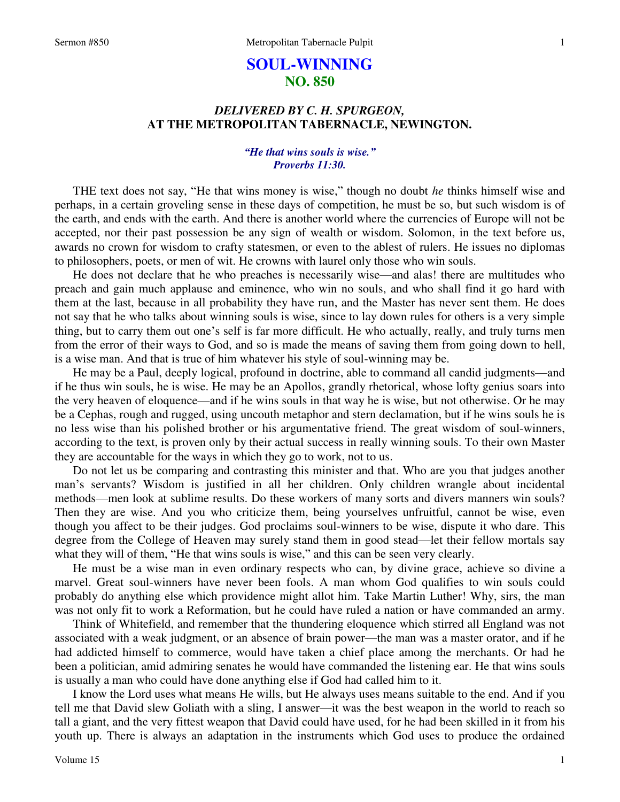# **SOUL-WINNING NO. 850**

## *DELIVERED BY C. H. SPURGEON,*  **AT THE METROPOLITAN TABERNACLE, NEWINGTON.**

## *"He that wins souls is wise." Proverbs 11:30.*

 THE text does not say, "He that wins money is wise," though no doubt *he* thinks himself wise and perhaps, in a certain groveling sense in these days of competition, he must be so, but such wisdom is of the earth, and ends with the earth. And there is another world where the currencies of Europe will not be accepted, nor their past possession be any sign of wealth or wisdom. Solomon, in the text before us, awards no crown for wisdom to crafty statesmen, or even to the ablest of rulers. He issues no diplomas to philosophers, poets, or men of wit. He crowns with laurel only those who win souls.

 He does not declare that he who preaches is necessarily wise—and alas! there are multitudes who preach and gain much applause and eminence, who win no souls, and who shall find it go hard with them at the last, because in all probability they have run, and the Master has never sent them. He does not say that he who talks about winning souls is wise, since to lay down rules for others is a very simple thing, but to carry them out one's self is far more difficult. He who actually, really, and truly turns men from the error of their ways to God, and so is made the means of saving them from going down to hell, is a wise man. And that is true of him whatever his style of soul-winning may be.

He may be a Paul, deeply logical, profound in doctrine, able to command all candid judgments—and if he thus win souls, he is wise. He may be an Apollos, grandly rhetorical, whose lofty genius soars into the very heaven of eloquence—and if he wins souls in that way he is wise, but not otherwise. Or he may be a Cephas, rough and rugged, using uncouth metaphor and stern declamation, but if he wins souls he is no less wise than his polished brother or his argumentative friend. The great wisdom of soul-winners, according to the text, is proven only by their actual success in really winning souls. To their own Master they are accountable for the ways in which they go to work, not to us.

 Do not let us be comparing and contrasting this minister and that. Who are you that judges another man's servants? Wisdom is justified in all her children. Only children wrangle about incidental methods—men look at sublime results. Do these workers of many sorts and divers manners win souls? Then they are wise. And you who criticize them, being yourselves unfruitful, cannot be wise, even though you affect to be their judges. God proclaims soul-winners to be wise, dispute it who dare. This degree from the College of Heaven may surely stand them in good stead—let their fellow mortals say what they will of them, "He that wins souls is wise," and this can be seen very clearly.

 He must be a wise man in even ordinary respects who can, by divine grace, achieve so divine a marvel. Great soul-winners have never been fools. A man whom God qualifies to win souls could probably do anything else which providence might allot him. Take Martin Luther! Why, sirs, the man was not only fit to work a Reformation, but he could have ruled a nation or have commanded an army.

 Think of Whitefield, and remember that the thundering eloquence which stirred all England was not associated with a weak judgment, or an absence of brain power—the man was a master orator, and if he had addicted himself to commerce, would have taken a chief place among the merchants. Or had he been a politician, amid admiring senates he would have commanded the listening ear. He that wins souls is usually a man who could have done anything else if God had called him to it.

 I know the Lord uses what means He wills, but He always uses means suitable to the end. And if you tell me that David slew Goliath with a sling, I answer—it was the best weapon in the world to reach so tall a giant, and the very fittest weapon that David could have used, for he had been skilled in it from his youth up. There is always an adaptation in the instruments which God uses to produce the ordained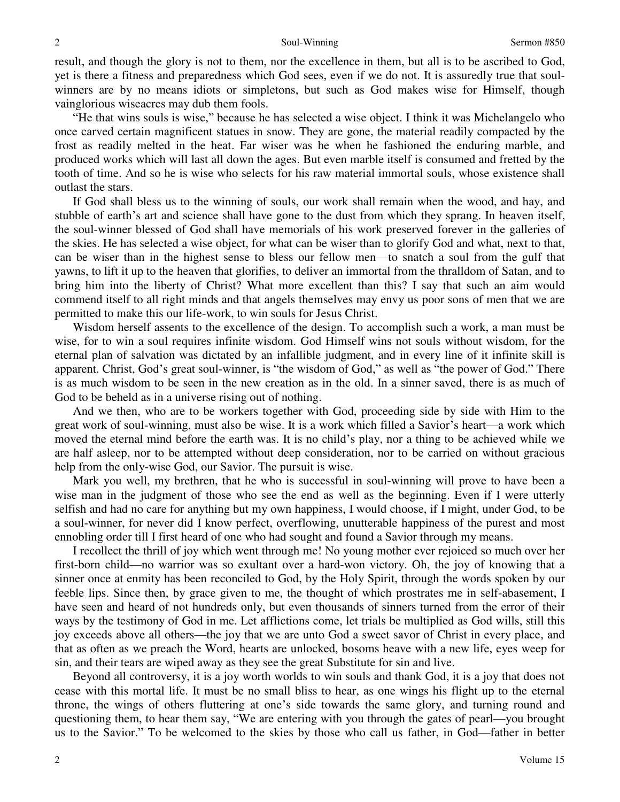result, and though the glory is not to them, nor the excellence in them, but all is to be ascribed to God, yet is there a fitness and preparedness which God sees, even if we do not. It is assuredly true that soulwinners are by no means idiots or simpletons, but such as God makes wise for Himself, though vainglorious wiseacres may dub them fools.

"He that wins souls is wise," because he has selected a wise object. I think it was Michelangelo who once carved certain magnificent statues in snow. They are gone, the material readily compacted by the frost as readily melted in the heat. Far wiser was he when he fashioned the enduring marble, and produced works which will last all down the ages. But even marble itself is consumed and fretted by the tooth of time. And so he is wise who selects for his raw material immortal souls, whose existence shall outlast the stars.

 If God shall bless us to the winning of souls, our work shall remain when the wood, and hay, and stubble of earth's art and science shall have gone to the dust from which they sprang. In heaven itself, the soul-winner blessed of God shall have memorials of his work preserved forever in the galleries of the skies. He has selected a wise object, for what can be wiser than to glorify God and what, next to that, can be wiser than in the highest sense to bless our fellow men—to snatch a soul from the gulf that yawns, to lift it up to the heaven that glorifies, to deliver an immortal from the thralldom of Satan, and to bring him into the liberty of Christ? What more excellent than this? I say that such an aim would commend itself to all right minds and that angels themselves may envy us poor sons of men that we are permitted to make this our life-work, to win souls for Jesus Christ.

 Wisdom herself assents to the excellence of the design. To accomplish such a work, a man must be wise, for to win a soul requires infinite wisdom. God Himself wins not souls without wisdom, for the eternal plan of salvation was dictated by an infallible judgment, and in every line of it infinite skill is apparent. Christ, God's great soul-winner, is "the wisdom of God," as well as "the power of God." There is as much wisdom to be seen in the new creation as in the old. In a sinner saved, there is as much of God to be beheld as in a universe rising out of nothing.

 And we then, who are to be workers together with God, proceeding side by side with Him to the great work of soul-winning, must also be wise. It is a work which filled a Savior's heart—a work which moved the eternal mind before the earth was. It is no child's play, nor a thing to be achieved while we are half asleep, nor to be attempted without deep consideration, nor to be carried on without gracious help from the only-wise God, our Savior. The pursuit is wise.

 Mark you well, my brethren, that he who is successful in soul-winning will prove to have been a wise man in the judgment of those who see the end as well as the beginning. Even if I were utterly selfish and had no care for anything but my own happiness, I would choose, if I might, under God, to be a soul-winner, for never did I know perfect, overflowing, unutterable happiness of the purest and most ennobling order till I first heard of one who had sought and found a Savior through my means.

 I recollect the thrill of joy which went through me! No young mother ever rejoiced so much over her first-born child—no warrior was so exultant over a hard-won victory. Oh, the joy of knowing that a sinner once at enmity has been reconciled to God, by the Holy Spirit, through the words spoken by our feeble lips. Since then, by grace given to me, the thought of which prostrates me in self-abasement, I have seen and heard of not hundreds only, but even thousands of sinners turned from the error of their ways by the testimony of God in me. Let afflictions come, let trials be multiplied as God wills, still this joy exceeds above all others—the joy that we are unto God a sweet savor of Christ in every place, and that as often as we preach the Word, hearts are unlocked, bosoms heave with a new life, eyes weep for sin, and their tears are wiped away as they see the great Substitute for sin and live.

 Beyond all controversy, it is a joy worth worlds to win souls and thank God, it is a joy that does not cease with this mortal life. It must be no small bliss to hear, as one wings his flight up to the eternal throne, the wings of others fluttering at one's side towards the same glory, and turning round and questioning them, to hear them say, "We are entering with you through the gates of pearl—you brought us to the Savior." To be welcomed to the skies by those who call us father, in God—father in better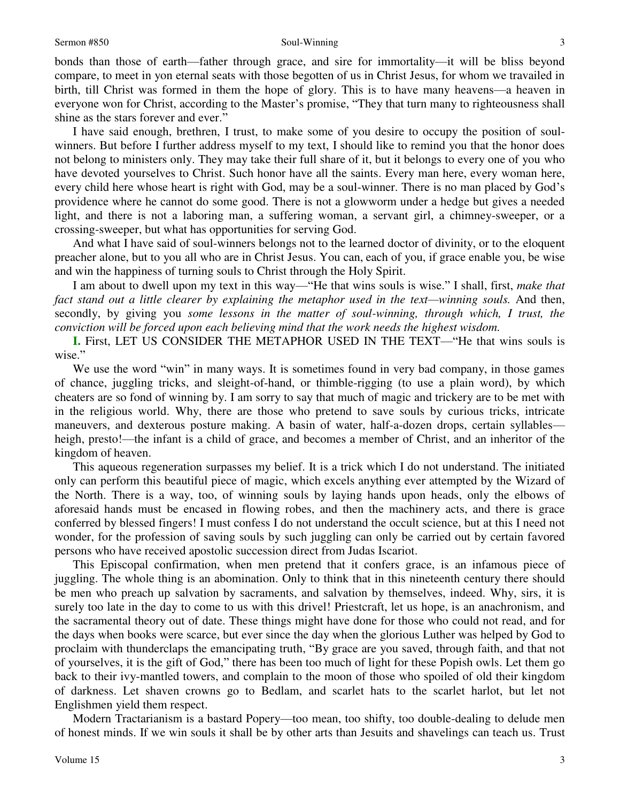#### Sermon #850 Soul-Winning

bonds than those of earth—father through grace, and sire for immortality—it will be bliss beyond compare, to meet in yon eternal seats with those begotten of us in Christ Jesus, for whom we travailed in birth, till Christ was formed in them the hope of glory. This is to have many heavens—a heaven in everyone won for Christ, according to the Master's promise, "They that turn many to righteousness shall shine as the stars forever and ever."

 I have said enough, brethren, I trust, to make some of you desire to occupy the position of soulwinners. But before I further address myself to my text, I should like to remind you that the honor does not belong to ministers only. They may take their full share of it, but it belongs to every one of you who have devoted yourselves to Christ. Such honor have all the saints. Every man here, every woman here, every child here whose heart is right with God, may be a soul-winner. There is no man placed by God's providence where he cannot do some good. There is not a glowworm under a hedge but gives a needed light, and there is not a laboring man, a suffering woman, a servant girl, a chimney-sweeper, or a crossing-sweeper, but what has opportunities for serving God.

 And what I have said of soul-winners belongs not to the learned doctor of divinity, or to the eloquent preacher alone, but to you all who are in Christ Jesus. You can, each of you, if grace enable you, be wise and win the happiness of turning souls to Christ through the Holy Spirit.

 I am about to dwell upon my text in this way—"He that wins souls is wise." I shall, first, *make that fact stand out a little clearer by explaining the metaphor used in the text—winning souls.* And then, secondly, by giving you *some lessons in the matter of soul-winning, through which, I trust, the conviction will be forced upon each believing mind that the work needs the highest wisdom.* 

**I.** First, LET US CONSIDER THE METAPHOR USED IN THE TEXT—"He that wins souls is wise."

We use the word "win" in many ways. It is sometimes found in very bad company, in those games of chance, juggling tricks, and sleight-of-hand, or thimble-rigging (to use a plain word), by which cheaters are so fond of winning by. I am sorry to say that much of magic and trickery are to be met with in the religious world. Why, there are those who pretend to save souls by curious tricks, intricate maneuvers, and dexterous posture making. A basin of water, half-a-dozen drops, certain syllables heigh, presto!—the infant is a child of grace, and becomes a member of Christ, and an inheritor of the kingdom of heaven.

 This aqueous regeneration surpasses my belief. It is a trick which I do not understand. The initiated only can perform this beautiful piece of magic, which excels anything ever attempted by the Wizard of the North. There is a way, too, of winning souls by laying hands upon heads, only the elbows of aforesaid hands must be encased in flowing robes, and then the machinery acts, and there is grace conferred by blessed fingers! I must confess I do not understand the occult science, but at this I need not wonder, for the profession of saving souls by such juggling can only be carried out by certain favored persons who have received apostolic succession direct from Judas Iscariot.

 This Episcopal confirmation, when men pretend that it confers grace, is an infamous piece of juggling. The whole thing is an abomination. Only to think that in this nineteenth century there should be men who preach up salvation by sacraments, and salvation by themselves, indeed. Why, sirs, it is surely too late in the day to come to us with this drivel! Priestcraft, let us hope, is an anachronism, and the sacramental theory out of date. These things might have done for those who could not read, and for the days when books were scarce, but ever since the day when the glorious Luther was helped by God to proclaim with thunderclaps the emancipating truth, "By grace are you saved, through faith, and that not of yourselves, it is the gift of God," there has been too much of light for these Popish owls. Let them go back to their ivy-mantled towers, and complain to the moon of those who spoiled of old their kingdom of darkness. Let shaven crowns go to Bedlam, and scarlet hats to the scarlet harlot, but let not Englishmen yield them respect.

 Modern Tractarianism is a bastard Popery—too mean, too shifty, too double-dealing to delude men of honest minds. If we win souls it shall be by other arts than Jesuits and shavelings can teach us. Trust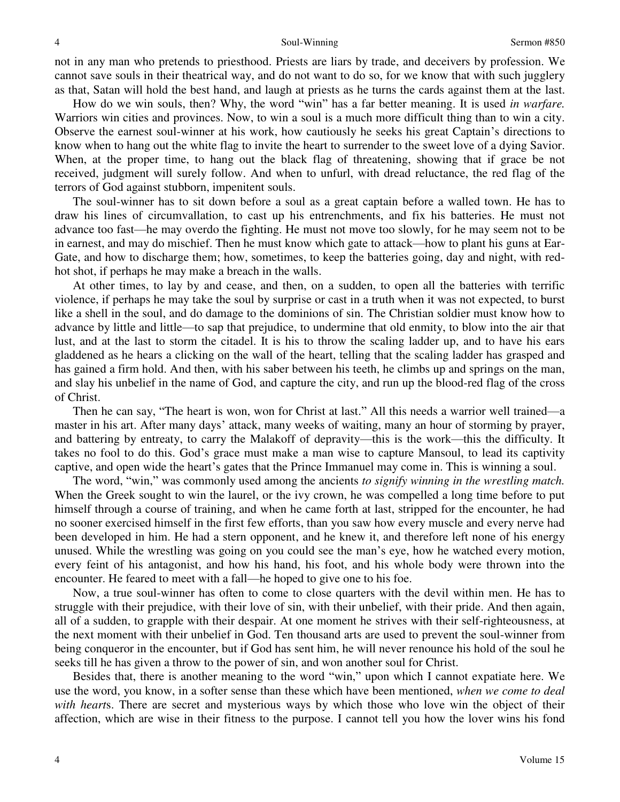not in any man who pretends to priesthood. Priests are liars by trade, and deceivers by profession. We cannot save souls in their theatrical way, and do not want to do so, for we know that with such jugglery as that, Satan will hold the best hand, and laugh at priests as he turns the cards against them at the last.

 How do we win souls, then? Why, the word "win" has a far better meaning. It is used *in warfare.*  Warriors win cities and provinces. Now, to win a soul is a much more difficult thing than to win a city. Observe the earnest soul-winner at his work, how cautiously he seeks his great Captain's directions to know when to hang out the white flag to invite the heart to surrender to the sweet love of a dying Savior. When, at the proper time, to hang out the black flag of threatening, showing that if grace be not received, judgment will surely follow. And when to unfurl, with dread reluctance, the red flag of the terrors of God against stubborn, impenitent souls.

 The soul-winner has to sit down before a soul as a great captain before a walled town. He has to draw his lines of circumvallation, to cast up his entrenchments, and fix his batteries. He must not advance too fast—he may overdo the fighting. He must not move too slowly, for he may seem not to be in earnest, and may do mischief. Then he must know which gate to attack—how to plant his guns at Ear-Gate, and how to discharge them; how, sometimes, to keep the batteries going, day and night, with redhot shot, if perhaps he may make a breach in the walls.

 At other times, to lay by and cease, and then, on a sudden, to open all the batteries with terrific violence, if perhaps he may take the soul by surprise or cast in a truth when it was not expected, to burst like a shell in the soul, and do damage to the dominions of sin. The Christian soldier must know how to advance by little and little—to sap that prejudice, to undermine that old enmity, to blow into the air that lust, and at the last to storm the citadel. It is his to throw the scaling ladder up, and to have his ears gladdened as he hears a clicking on the wall of the heart, telling that the scaling ladder has grasped and has gained a firm hold. And then, with his saber between his teeth, he climbs up and springs on the man, and slay his unbelief in the name of God, and capture the city, and run up the blood-red flag of the cross of Christ.

 Then he can say, "The heart is won, won for Christ at last." All this needs a warrior well trained—a master in his art. After many days' attack, many weeks of waiting, many an hour of storming by prayer, and battering by entreaty, to carry the Malakoff of depravity—this is the work—this the difficulty. It takes no fool to do this. God's grace must make a man wise to capture Mansoul, to lead its captivity captive, and open wide the heart's gates that the Prince Immanuel may come in. This is winning a soul.

 The word, "win," was commonly used among the ancients *to signify winning in the wrestling match.*  When the Greek sought to win the laurel, or the ivy crown, he was compelled a long time before to put himself through a course of training, and when he came forth at last, stripped for the encounter, he had no sooner exercised himself in the first few efforts, than you saw how every muscle and every nerve had been developed in him. He had a stern opponent, and he knew it, and therefore left none of his energy unused. While the wrestling was going on you could see the man's eye, how he watched every motion, every feint of his antagonist, and how his hand, his foot, and his whole body were thrown into the encounter. He feared to meet with a fall—he hoped to give one to his foe.

 Now, a true soul-winner has often to come to close quarters with the devil within men. He has to struggle with their prejudice, with their love of sin, with their unbelief, with their pride. And then again, all of a sudden, to grapple with their despair. At one moment he strives with their self-righteousness, at the next moment with their unbelief in God. Ten thousand arts are used to prevent the soul-winner from being conqueror in the encounter, but if God has sent him, he will never renounce his hold of the soul he seeks till he has given a throw to the power of sin, and won another soul for Christ.

 Besides that, there is another meaning to the word "win," upon which I cannot expatiate here. We use the word, you know, in a softer sense than these which have been mentioned, *when we come to deal with heart*s. There are secret and mysterious ways by which those who love win the object of their affection, which are wise in their fitness to the purpose. I cannot tell you how the lover wins his fond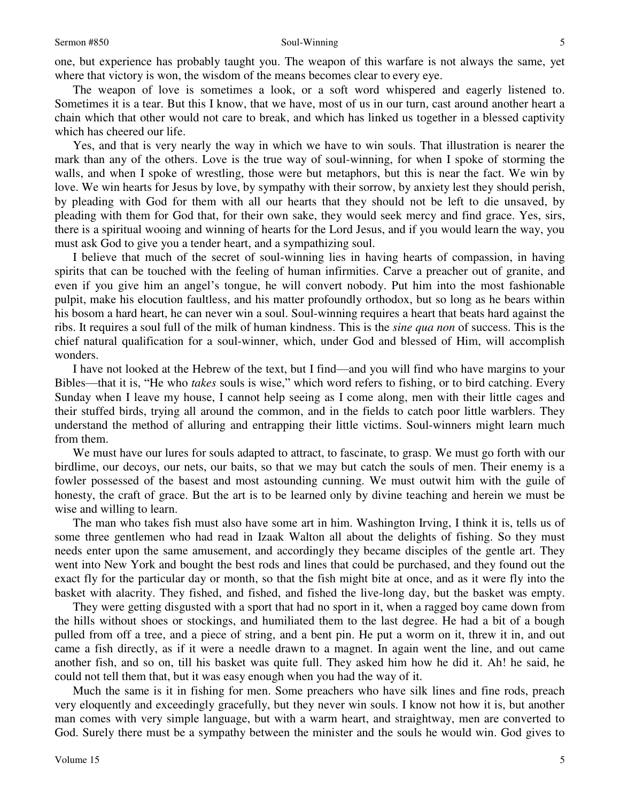#### Sermon #850 Soul-Winning

one, but experience has probably taught you. The weapon of this warfare is not always the same, yet where that victory is won, the wisdom of the means becomes clear to every eye.

 The weapon of love is sometimes a look, or a soft word whispered and eagerly listened to. Sometimes it is a tear. But this I know, that we have, most of us in our turn, cast around another heart a chain which that other would not care to break, and which has linked us together in a blessed captivity which has cheered our life.

 Yes, and that is very nearly the way in which we have to win souls. That illustration is nearer the mark than any of the others. Love is the true way of soul-winning, for when I spoke of storming the walls, and when I spoke of wrestling, those were but metaphors, but this is near the fact. We win by love. We win hearts for Jesus by love, by sympathy with their sorrow, by anxiety lest they should perish, by pleading with God for them with all our hearts that they should not be left to die unsaved, by pleading with them for God that, for their own sake, they would seek mercy and find grace. Yes, sirs, there is a spiritual wooing and winning of hearts for the Lord Jesus, and if you would learn the way, you must ask God to give you a tender heart, and a sympathizing soul.

 I believe that much of the secret of soul-winning lies in having hearts of compassion, in having spirits that can be touched with the feeling of human infirmities. Carve a preacher out of granite, and even if you give him an angel's tongue, he will convert nobody. Put him into the most fashionable pulpit, make his elocution faultless, and his matter profoundly orthodox, but so long as he bears within his bosom a hard heart, he can never win a soul. Soul-winning requires a heart that beats hard against the ribs. It requires a soul full of the milk of human kindness. This is the *sine qua non* of success. This is the chief natural qualification for a soul-winner, which, under God and blessed of Him, will accomplish wonders.

 I have not looked at the Hebrew of the text, but I find—and you will find who have margins to your Bibles—that it is, "He who *takes* souls is wise," which word refers to fishing, or to bird catching. Every Sunday when I leave my house, I cannot help seeing as I come along, men with their little cages and their stuffed birds, trying all around the common, and in the fields to catch poor little warblers. They understand the method of alluring and entrapping their little victims. Soul-winners might learn much from them.

 We must have our lures for souls adapted to attract, to fascinate, to grasp. We must go forth with our birdlime, our decoys, our nets, our baits, so that we may but catch the souls of men. Their enemy is a fowler possessed of the basest and most astounding cunning. We must outwit him with the guile of honesty, the craft of grace. But the art is to be learned only by divine teaching and herein we must be wise and willing to learn.

 The man who takes fish must also have some art in him. Washington Irving, I think it is, tells us of some three gentlemen who had read in Izaak Walton all about the delights of fishing. So they must needs enter upon the same amusement, and accordingly they became disciples of the gentle art. They went into New York and bought the best rods and lines that could be purchased, and they found out the exact fly for the particular day or month, so that the fish might bite at once, and as it were fly into the basket with alacrity. They fished, and fished, and fished the live-long day, but the basket was empty.

 They were getting disgusted with a sport that had no sport in it, when a ragged boy came down from the hills without shoes or stockings, and humiliated them to the last degree. He had a bit of a bough pulled from off a tree, and a piece of string, and a bent pin. He put a worm on it, threw it in, and out came a fish directly, as if it were a needle drawn to a magnet. In again went the line, and out came another fish, and so on, till his basket was quite full. They asked him how he did it. Ah! he said, he could not tell them that, but it was easy enough when you had the way of it.

 Much the same is it in fishing for men. Some preachers who have silk lines and fine rods, preach very eloquently and exceedingly gracefully, but they never win souls. I know not how it is, but another man comes with very simple language, but with a warm heart, and straightway, men are converted to God. Surely there must be a sympathy between the minister and the souls he would win. God gives to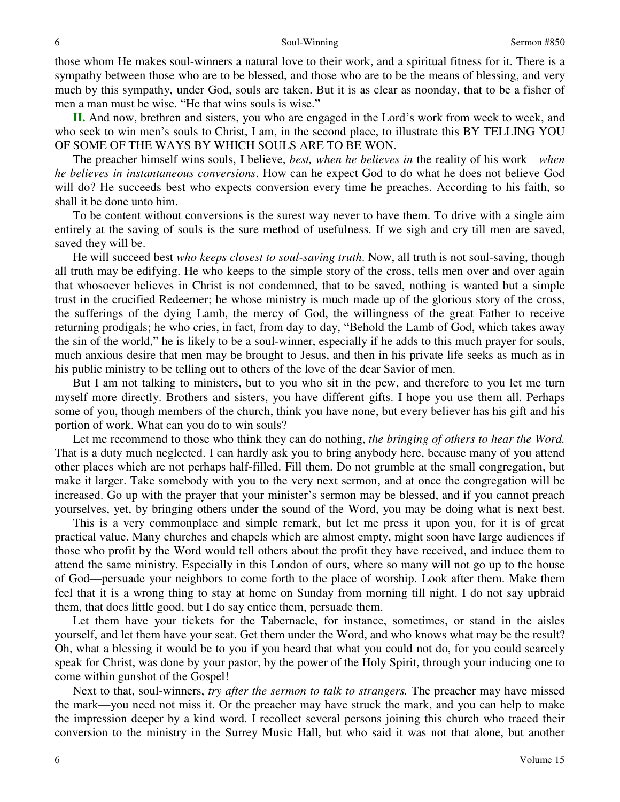those whom He makes soul-winners a natural love to their work, and a spiritual fitness for it. There is a sympathy between those who are to be blessed, and those who are to be the means of blessing, and very much by this sympathy, under God, souls are taken. But it is as clear as noonday, that to be a fisher of men a man must be wise. "He that wins souls is wise."

**II.** And now, brethren and sisters, you who are engaged in the Lord's work from week to week, and who seek to win men's souls to Christ, I am, in the second place, to illustrate this BY TELLING YOU OF SOME OF THE WAYS BY WHICH SOULS ARE TO BE WON.

 The preacher himself wins souls, I believe, *best, when he believes in* the reality of his work—*when he believes in instantaneous conversions*. How can he expect God to do what he does not believe God will do? He succeeds best who expects conversion every time he preaches. According to his faith, so shall it be done unto him.

 To be content without conversions is the surest way never to have them. To drive with a single aim entirely at the saving of souls is the sure method of usefulness. If we sigh and cry till men are saved, saved they will be.

 He will succeed best *who keeps closest to soul-saving truth*. Now, all truth is not soul-saving, though all truth may be edifying. He who keeps to the simple story of the cross, tells men over and over again that whosoever believes in Christ is not condemned, that to be saved, nothing is wanted but a simple trust in the crucified Redeemer; he whose ministry is much made up of the glorious story of the cross, the sufferings of the dying Lamb, the mercy of God, the willingness of the great Father to receive returning prodigals; he who cries, in fact, from day to day, "Behold the Lamb of God, which takes away the sin of the world," he is likely to be a soul-winner, especially if he adds to this much prayer for souls, much anxious desire that men may be brought to Jesus, and then in his private life seeks as much as in his public ministry to be telling out to others of the love of the dear Savior of men.

 But I am not talking to ministers, but to you who sit in the pew, and therefore to you let me turn myself more directly. Brothers and sisters, you have different gifts. I hope you use them all. Perhaps some of you, though members of the church, think you have none, but every believer has his gift and his portion of work. What can you do to win souls?

 Let me recommend to those who think they can do nothing, *the bringing of others to hear the Word.*  That is a duty much neglected. I can hardly ask you to bring anybody here, because many of you attend other places which are not perhaps half-filled. Fill them. Do not grumble at the small congregation, but make it larger. Take somebody with you to the very next sermon, and at once the congregation will be increased. Go up with the prayer that your minister's sermon may be blessed, and if you cannot preach yourselves, yet, by bringing others under the sound of the Word, you may be doing what is next best.

 This is a very commonplace and simple remark, but let me press it upon you, for it is of great practical value. Many churches and chapels which are almost empty, might soon have large audiences if those who profit by the Word would tell others about the profit they have received, and induce them to attend the same ministry. Especially in this London of ours, where so many will not go up to the house of God—persuade your neighbors to come forth to the place of worship. Look after them. Make them feel that it is a wrong thing to stay at home on Sunday from morning till night. I do not say upbraid them, that does little good, but I do say entice them, persuade them.

 Let them have your tickets for the Tabernacle, for instance, sometimes, or stand in the aisles yourself, and let them have your seat. Get them under the Word, and who knows what may be the result? Oh, what a blessing it would be to you if you heard that what you could not do, for you could scarcely speak for Christ, was done by your pastor, by the power of the Holy Spirit, through your inducing one to come within gunshot of the Gospel!

 Next to that, soul-winners, *try after the sermon to talk to strangers.* The preacher may have missed the mark—you need not miss it. Or the preacher may have struck the mark, and you can help to make the impression deeper by a kind word. I recollect several persons joining this church who traced their conversion to the ministry in the Surrey Music Hall, but who said it was not that alone, but another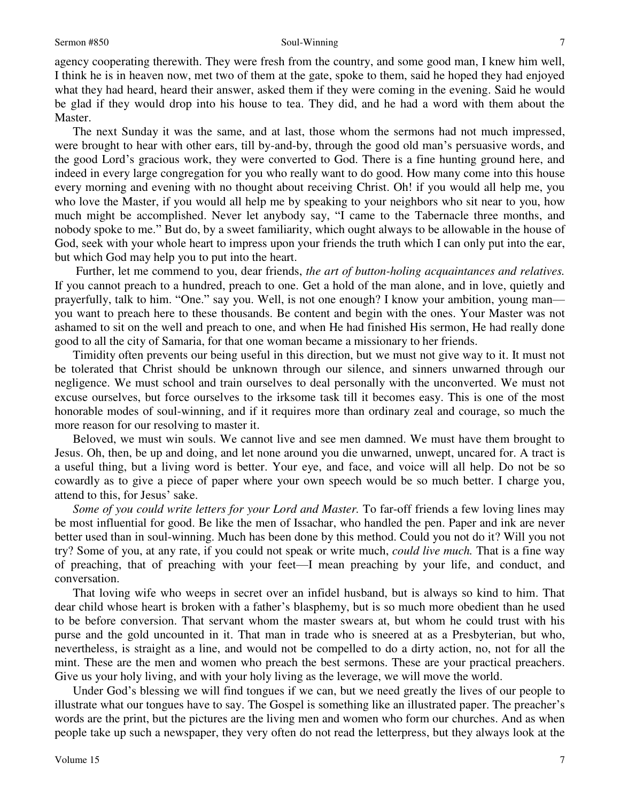#### Sermon #850 Soul-Winning

agency cooperating therewith. They were fresh from the country, and some good man, I knew him well, I think he is in heaven now, met two of them at the gate, spoke to them, said he hoped they had enjoyed what they had heard, heard their answer, asked them if they were coming in the evening. Said he would be glad if they would drop into his house to tea. They did, and he had a word with them about the Master.

 The next Sunday it was the same, and at last, those whom the sermons had not much impressed, were brought to hear with other ears, till by-and-by, through the good old man's persuasive words, and the good Lord's gracious work, they were converted to God. There is a fine hunting ground here, and indeed in every large congregation for you who really want to do good. How many come into this house every morning and evening with no thought about receiving Christ. Oh! if you would all help me, you who love the Master, if you would all help me by speaking to your neighbors who sit near to you, how much might be accomplished. Never let anybody say, "I came to the Tabernacle three months, and nobody spoke to me." But do, by a sweet familiarity, which ought always to be allowable in the house of God, seek with your whole heart to impress upon your friends the truth which I can only put into the ear, but which God may help you to put into the heart.

 Further, let me commend to you, dear friends, *the art of button-holing acquaintances and relatives.*  If you cannot preach to a hundred, preach to one. Get a hold of the man alone, and in love, quietly and prayerfully, talk to him. "One." say you. Well, is not one enough? I know your ambition, young man you want to preach here to these thousands. Be content and begin with the ones. Your Master was not ashamed to sit on the well and preach to one, and when He had finished His sermon, He had really done good to all the city of Samaria, for that one woman became a missionary to her friends.

 Timidity often prevents our being useful in this direction, but we must not give way to it. It must not be tolerated that Christ should be unknown through our silence, and sinners unwarned through our negligence. We must school and train ourselves to deal personally with the unconverted. We must not excuse ourselves, but force ourselves to the irksome task till it becomes easy. This is one of the most honorable modes of soul-winning, and if it requires more than ordinary zeal and courage, so much the more reason for our resolving to master it.

 Beloved, we must win souls. We cannot live and see men damned. We must have them brought to Jesus. Oh, then, be up and doing, and let none around you die unwarned, unwept, uncared for. A tract is a useful thing, but a living word is better. Your eye, and face, and voice will all help. Do not be so cowardly as to give a piece of paper where your own speech would be so much better. I charge you, attend to this, for Jesus' sake.

*Some of you could write letters for your Lord and Master.* To far-off friends a few loving lines may be most influential for good. Be like the men of Issachar, who handled the pen. Paper and ink are never better used than in soul-winning. Much has been done by this method. Could you not do it? Will you not try? Some of you, at any rate, if you could not speak or write much, *could live much.* That is a fine way of preaching, that of preaching with your feet—I mean preaching by your life, and conduct, and conversation.

 That loving wife who weeps in secret over an infidel husband, but is always so kind to him. That dear child whose heart is broken with a father's blasphemy, but is so much more obedient than he used to be before conversion. That servant whom the master swears at, but whom he could trust with his purse and the gold uncounted in it. That man in trade who is sneered at as a Presbyterian, but who, nevertheless, is straight as a line, and would not be compelled to do a dirty action, no, not for all the mint. These are the men and women who preach the best sermons. These are your practical preachers. Give us your holy living, and with your holy living as the leverage, we will move the world.

 Under God's blessing we will find tongues if we can, but we need greatly the lives of our people to illustrate what our tongues have to say. The Gospel is something like an illustrated paper. The preacher's words are the print, but the pictures are the living men and women who form our churches. And as when people take up such a newspaper, they very often do not read the letterpress, but they always look at the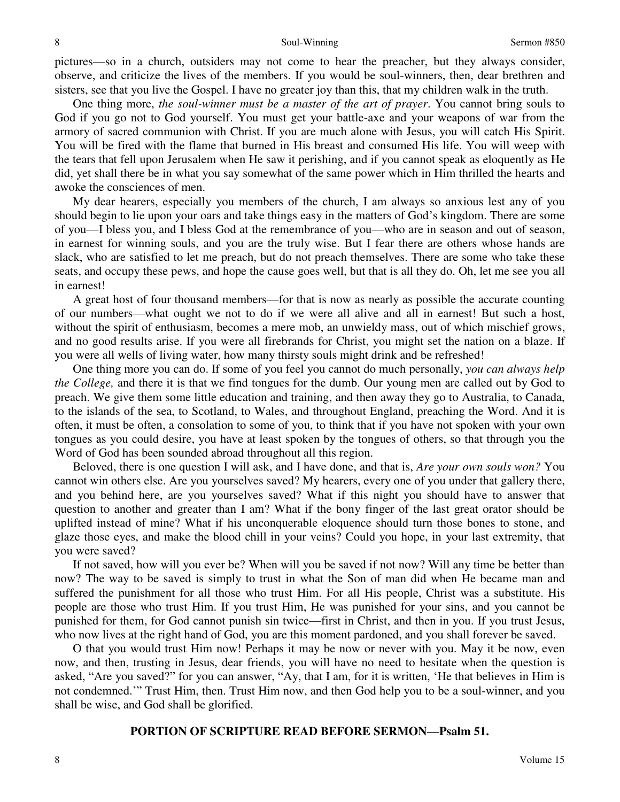pictures—so in a church, outsiders may not come to hear the preacher, but they always consider, observe, and criticize the lives of the members. If you would be soul-winners, then, dear brethren and sisters, see that you live the Gospel. I have no greater joy than this, that my children walk in the truth.

 One thing more, *the soul-winner must be a master of the art of prayer*. You cannot bring souls to God if you go not to God yourself. You must get your battle-axe and your weapons of war from the armory of sacred communion with Christ. If you are much alone with Jesus, you will catch His Spirit. You will be fired with the flame that burned in His breast and consumed His life. You will weep with the tears that fell upon Jerusalem when He saw it perishing, and if you cannot speak as eloquently as He did, yet shall there be in what you say somewhat of the same power which in Him thrilled the hearts and awoke the consciences of men.

 My dear hearers, especially you members of the church, I am always so anxious lest any of you should begin to lie upon your oars and take things easy in the matters of God's kingdom. There are some of you—I bless you, and I bless God at the remembrance of you—who are in season and out of season, in earnest for winning souls, and you are the truly wise. But I fear there are others whose hands are slack, who are satisfied to let me preach, but do not preach themselves. There are some who take these seats, and occupy these pews, and hope the cause goes well, but that is all they do. Oh, let me see you all in earnest!

 A great host of four thousand members—for that is now as nearly as possible the accurate counting of our numbers—what ought we not to do if we were all alive and all in earnest! But such a host, without the spirit of enthusiasm, becomes a mere mob, an unwieldy mass, out of which mischief grows, and no good results arise. If you were all firebrands for Christ, you might set the nation on a blaze. If you were all wells of living water, how many thirsty souls might drink and be refreshed!

 One thing more you can do. If some of you feel you cannot do much personally, *you can always help the College,* and there it is that we find tongues for the dumb. Our young men are called out by God to preach. We give them some little education and training, and then away they go to Australia, to Canada, to the islands of the sea, to Scotland, to Wales, and throughout England, preaching the Word. And it is often, it must be often, a consolation to some of you, to think that if you have not spoken with your own tongues as you could desire, you have at least spoken by the tongues of others, so that through you the Word of God has been sounded abroad throughout all this region.

Beloved, there is one question I will ask, and I have done, and that is, *Are your own souls won?* You cannot win others else. Are you yourselves saved? My hearers, every one of you under that gallery there, and you behind here, are you yourselves saved? What if this night you should have to answer that question to another and greater than I am? What if the bony finger of the last great orator should be uplifted instead of mine? What if his unconquerable eloquence should turn those bones to stone, and glaze those eyes, and make the blood chill in your veins? Could you hope, in your last extremity, that you were saved?

 If not saved, how will you ever be? When will you be saved if not now? Will any time be better than now? The way to be saved is simply to trust in what the Son of man did when He became man and suffered the punishment for all those who trust Him. For all His people, Christ was a substitute. His people are those who trust Him. If you trust Him, He was punished for your sins, and you cannot be punished for them, for God cannot punish sin twice—first in Christ, and then in you. If you trust Jesus, who now lives at the right hand of God, you are this moment pardoned, and you shall forever be saved.

 O that you would trust Him now! Perhaps it may be now or never with you. May it be now, even now, and then, trusting in Jesus, dear friends, you will have no need to hesitate when the question is asked, "Are you saved?" for you can answer, "Ay, that I am, for it is written, 'He that believes in Him is not condemned.'" Trust Him, then. Trust Him now, and then God help you to be a soul-winner, and you shall be wise, and God shall be glorified.

### **PORTION OF SCRIPTURE READ BEFORE SERMON—Psalm 51.**